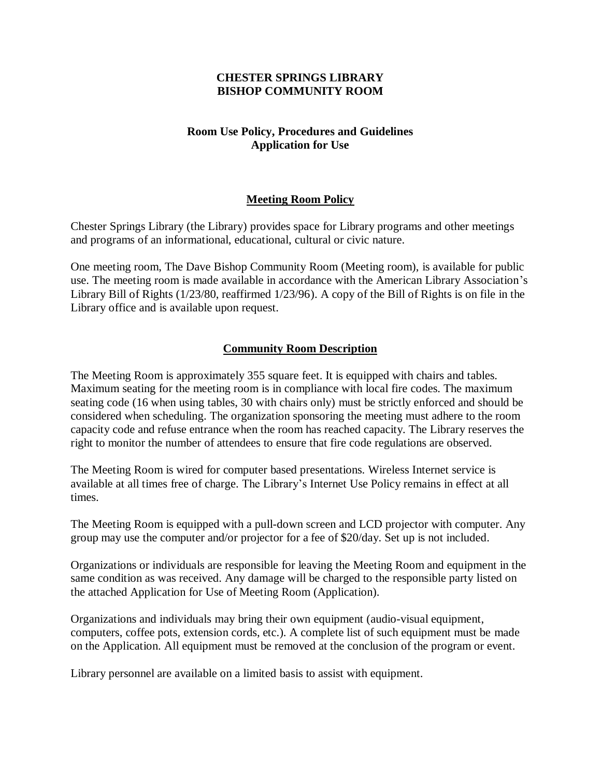## **CHESTER SPRINGS LIBRARY BISHOP COMMUNITY ROOM**

# **Room Use Policy, Procedures and Guidelines Application for Use**

# **Meeting Room Policy**

Chester Springs Library (the Library) provides space for Library programs and other meetings and programs of an informational, educational, cultural or civic nature.

One meeting room, The Dave Bishop Community Room (Meeting room), is available for public use. The meeting room is made available in accordance with the American Library Association's Library Bill of Rights (1/23/80, reaffirmed 1/23/96). A copy of the Bill of Rights is on file in the Library office and is available upon request.

## **Community Room Description**

The Meeting Room is approximately 355 square feet. It is equipped with chairs and tables. Maximum seating for the meeting room is in compliance with local fire codes. The maximum seating code (16 when using tables, 30 with chairs only) must be strictly enforced and should be considered when scheduling. The organization sponsoring the meeting must adhere to the room capacity code and refuse entrance when the room has reached capacity. The Library reserves the right to monitor the number of attendees to ensure that fire code regulations are observed.

The Meeting Room is wired for computer based presentations. Wireless Internet service is available at all times free of charge. The Library's Internet Use Policy remains in effect at all times.

The Meeting Room is equipped with a pull-down screen and LCD projector with computer. Any group may use the computer and/or projector for a fee of \$20/day. Set up is not included.

Organizations or individuals are responsible for leaving the Meeting Room and equipment in the same condition as was received. Any damage will be charged to the responsible party listed on the attached Application for Use of Meeting Room (Application).

Organizations and individuals may bring their own equipment (audio-visual equipment, computers, coffee pots, extension cords, etc.). A complete list of such equipment must be made on the Application. All equipment must be removed at the conclusion of the program or event.

Library personnel are available on a limited basis to assist with equipment.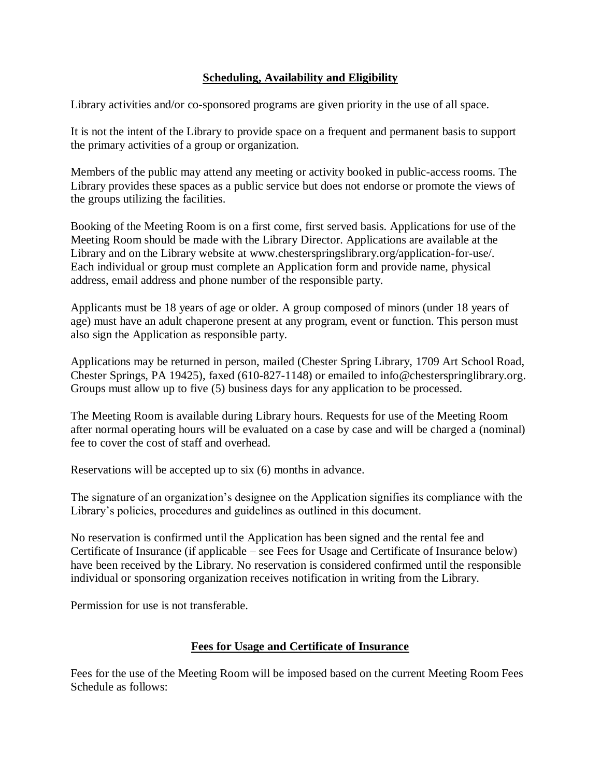# **Scheduling, Availability and Eligibility**

Library activities and/or co-sponsored programs are given priority in the use of all space.

It is not the intent of the Library to provide space on a frequent and permanent basis to support the primary activities of a group or organization.

Members of the public may attend any meeting or activity booked in public-access rooms. The Library provides these spaces as a public service but does not endorse or promote the views of the groups utilizing the facilities.

Booking of the Meeting Room is on a first come, first served basis. Applications for use of the Meeting Room should be made with the Library Director. Applications are available at the Library and on the Library website at www.chesterspringslibrary.org/application-for-use/. Each individual or group must complete an Application form and provide name, physical address, email address and phone number of the responsible party.

Applicants must be 18 years of age or older. A group composed of minors (under 18 years of age) must have an adult chaperone present at any program, event or function. This person must also sign the Application as responsible party.

Applications may be returned in person, mailed (Chester Spring Library, 1709 Art School Road, Chester Springs, PA 19425), faxed (610-827-1148) or emailed to info@chesterspringlibrary.org. Groups must allow up to five (5) business days for any application to be processed.

The Meeting Room is available during Library hours. Requests for use of the Meeting Room after normal operating hours will be evaluated on a case by case and will be charged a (nominal) fee to cover the cost of staff and overhead.

Reservations will be accepted up to six (6) months in advance.

The signature of an organization's designee on the Application signifies its compliance with the Library's policies, procedures and guidelines as outlined in this document.

No reservation is confirmed until the Application has been signed and the rental fee and Certificate of Insurance (if applicable – see Fees for Usage and Certificate of Insurance below) have been received by the Library. No reservation is considered confirmed until the responsible individual or sponsoring organization receives notification in writing from the Library.

Permission for use is not transferable.

# **Fees for Usage and Certificate of Insurance**

Fees for the use of the Meeting Room will be imposed based on the current Meeting Room Fees Schedule as follows: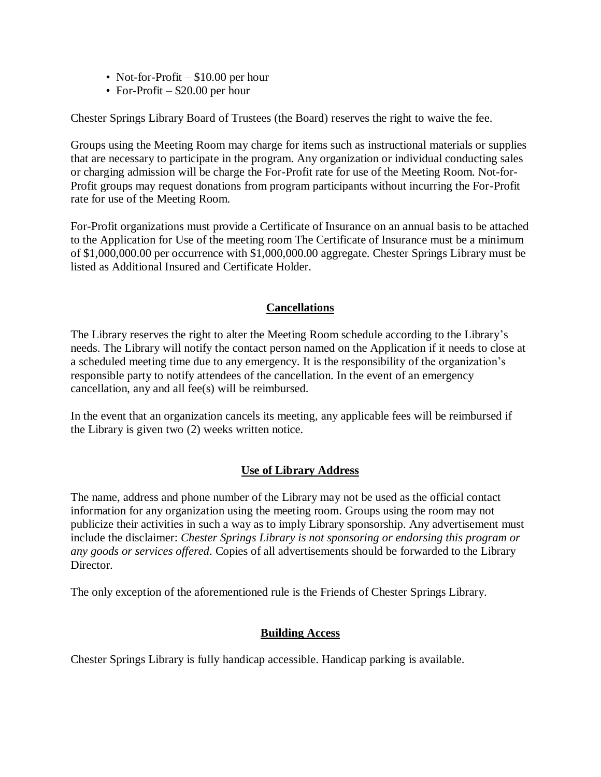- Not-for-Profit \$10.00 per hour
- For-Profit \$20.00 per hour

Chester Springs Library Board of Trustees (the Board) reserves the right to waive the fee.

Groups using the Meeting Room may charge for items such as instructional materials or supplies that are necessary to participate in the program. Any organization or individual conducting sales or charging admission will be charge the For-Profit rate for use of the Meeting Room. Not-for-Profit groups may request donations from program participants without incurring the For-Profit rate for use of the Meeting Room.

For-Profit organizations must provide a Certificate of Insurance on an annual basis to be attached to the Application for Use of the meeting room The Certificate of Insurance must be a minimum of \$1,000,000.00 per occurrence with \$1,000,000.00 aggregate. Chester Springs Library must be listed as Additional Insured and Certificate Holder.

## **Cancellations**

The Library reserves the right to alter the Meeting Room schedule according to the Library's needs. The Library will notify the contact person named on the Application if it needs to close at a scheduled meeting time due to any emergency. It is the responsibility of the organization's responsible party to notify attendees of the cancellation. In the event of an emergency cancellation, any and all fee(s) will be reimbursed.

In the event that an organization cancels its meeting, any applicable fees will be reimbursed if the Library is given two (2) weeks written notice.

### **Use of Library Address**

The name, address and phone number of the Library may not be used as the official contact information for any organization using the meeting room. Groups using the room may not publicize their activities in such a way as to imply Library sponsorship. Any advertisement must include the disclaimer: *Chester Springs Library is not sponsoring or endorsing this program or any goods or services offered*. Copies of all advertisements should be forwarded to the Library Director.

The only exception of the aforementioned rule is the Friends of Chester Springs Library.

### **Building Access**

Chester Springs Library is fully handicap accessible. Handicap parking is available.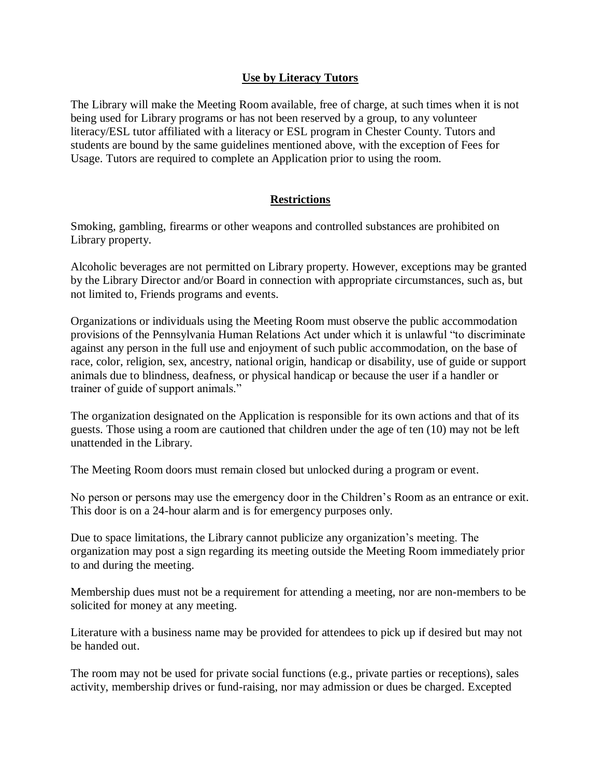## **Use by Literacy Tutors**

The Library will make the Meeting Room available, free of charge, at such times when it is not being used for Library programs or has not been reserved by a group, to any volunteer literacy/ESL tutor affiliated with a literacy or ESL program in Chester County. Tutors and students are bound by the same guidelines mentioned above, with the exception of Fees for Usage. Tutors are required to complete an Application prior to using the room.

## **Restrictions**

Smoking, gambling, firearms or other weapons and controlled substances are prohibited on Library property.

Alcoholic beverages are not permitted on Library property. However, exceptions may be granted by the Library Director and/or Board in connection with appropriate circumstances, such as, but not limited to, Friends programs and events.

Organizations or individuals using the Meeting Room must observe the public accommodation provisions of the Pennsylvania Human Relations Act under which it is unlawful "to discriminate against any person in the full use and enjoyment of such public accommodation, on the base of race, color, religion, sex, ancestry, national origin, handicap or disability, use of guide or support animals due to blindness, deafness, or physical handicap or because the user if a handler or trainer of guide of support animals."

The organization designated on the Application is responsible for its own actions and that of its guests. Those using a room are cautioned that children under the age of ten (10) may not be left unattended in the Library.

The Meeting Room doors must remain closed but unlocked during a program or event.

No person or persons may use the emergency door in the Children's Room as an entrance or exit. This door is on a 24-hour alarm and is for emergency purposes only.

Due to space limitations, the Library cannot publicize any organization's meeting. The organization may post a sign regarding its meeting outside the Meeting Room immediately prior to and during the meeting.

Membership dues must not be a requirement for attending a meeting, nor are non-members to be solicited for money at any meeting.

Literature with a business name may be provided for attendees to pick up if desired but may not be handed out.

The room may not be used for private social functions (e.g., private parties or receptions), sales activity, membership drives or fund-raising, nor may admission or dues be charged. Excepted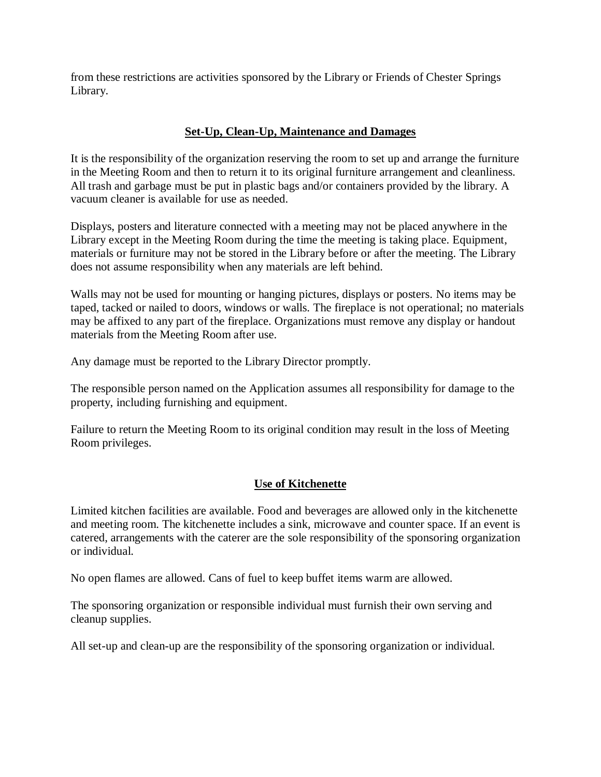from these restrictions are activities sponsored by the Library or Friends of Chester Springs Library.

# **Set-Up, Clean-Up, Maintenance and Damages**

It is the responsibility of the organization reserving the room to set up and arrange the furniture in the Meeting Room and then to return it to its original furniture arrangement and cleanliness. All trash and garbage must be put in plastic bags and/or containers provided by the library. A vacuum cleaner is available for use as needed.

Displays, posters and literature connected with a meeting may not be placed anywhere in the Library except in the Meeting Room during the time the meeting is taking place. Equipment, materials or furniture may not be stored in the Library before or after the meeting. The Library does not assume responsibility when any materials are left behind.

Walls may not be used for mounting or hanging pictures, displays or posters. No items may be taped, tacked or nailed to doors, windows or walls. The fireplace is not operational; no materials may be affixed to any part of the fireplace. Organizations must remove any display or handout materials from the Meeting Room after use.

Any damage must be reported to the Library Director promptly.

The responsible person named on the Application assumes all responsibility for damage to the property, including furnishing and equipment.

Failure to return the Meeting Room to its original condition may result in the loss of Meeting Room privileges.

# **Use of Kitchenette**

Limited kitchen facilities are available. Food and beverages are allowed only in the kitchenette and meeting room. The kitchenette includes a sink, microwave and counter space. If an event is catered, arrangements with the caterer are the sole responsibility of the sponsoring organization or individual.

No open flames are allowed. Cans of fuel to keep buffet items warm are allowed.

The sponsoring organization or responsible individual must furnish their own serving and cleanup supplies.

All set-up and clean-up are the responsibility of the sponsoring organization or individual.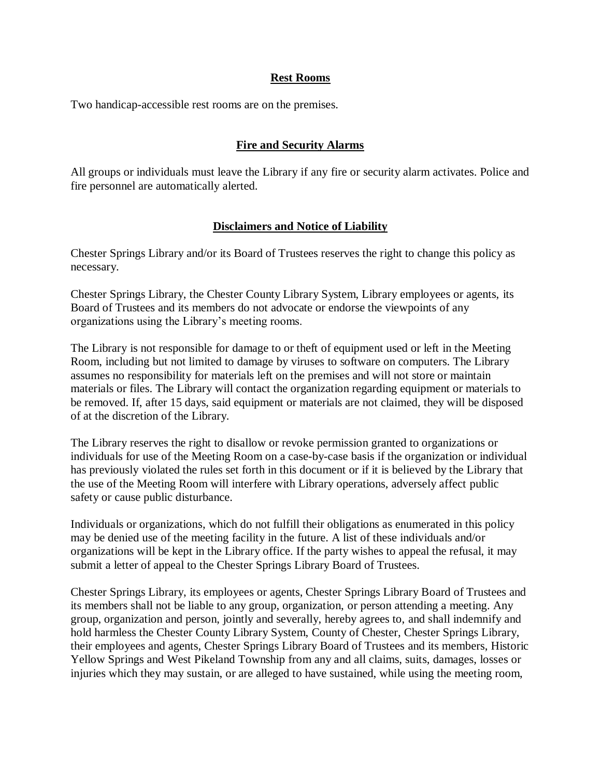### **Rest Rooms**

Two handicap-accessible rest rooms are on the premises.

## **Fire and Security Alarms**

All groups or individuals must leave the Library if any fire or security alarm activates. Police and fire personnel are automatically alerted.

### **Disclaimers and Notice of Liability**

Chester Springs Library and/or its Board of Trustees reserves the right to change this policy as necessary.

Chester Springs Library, the Chester County Library System, Library employees or agents, its Board of Trustees and its members do not advocate or endorse the viewpoints of any organizations using the Library's meeting rooms.

The Library is not responsible for damage to or theft of equipment used or left in the Meeting Room, including but not limited to damage by viruses to software on computers. The Library assumes no responsibility for materials left on the premises and will not store or maintain materials or files. The Library will contact the organization regarding equipment or materials to be removed. If, after 15 days, said equipment or materials are not claimed, they will be disposed of at the discretion of the Library.

The Library reserves the right to disallow or revoke permission granted to organizations or individuals for use of the Meeting Room on a case-by-case basis if the organization or individual has previously violated the rules set forth in this document or if it is believed by the Library that the use of the Meeting Room will interfere with Library operations, adversely affect public safety or cause public disturbance.

Individuals or organizations, which do not fulfill their obligations as enumerated in this policy may be denied use of the meeting facility in the future. A list of these individuals and/or organizations will be kept in the Library office. If the party wishes to appeal the refusal, it may submit a letter of appeal to the Chester Springs Library Board of Trustees.

Chester Springs Library, its employees or agents, Chester Springs Library Board of Trustees and its members shall not be liable to any group, organization, or person attending a meeting. Any group, organization and person, jointly and severally, hereby agrees to, and shall indemnify and hold harmless the Chester County Library System, County of Chester, Chester Springs Library, their employees and agents, Chester Springs Library Board of Trustees and its members, Historic Yellow Springs and West Pikeland Township from any and all claims, suits, damages, losses or injuries which they may sustain, or are alleged to have sustained, while using the meeting room,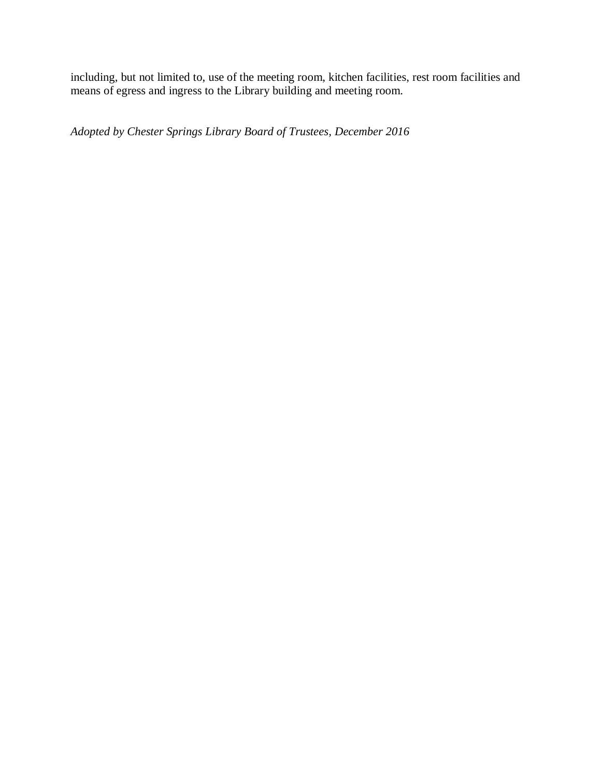including, but not limited to, use of the meeting room, kitchen facilities, rest room facilities and means of egress and ingress to the Library building and meeting room.

*Adopted by Chester Springs Library Board of Trustees, December 2016*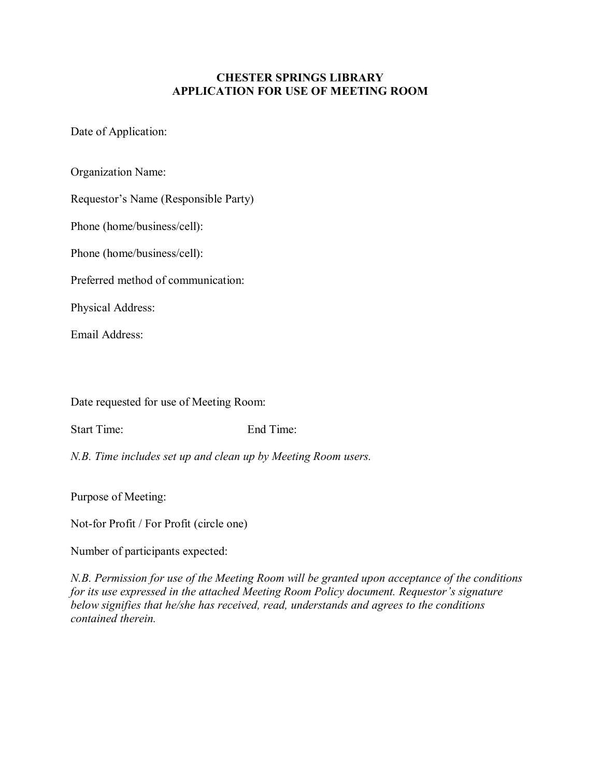## **CHESTER SPRINGS LIBRARY APPLICATION FOR USE OF MEETING ROOM**

Date of Application:

Organization Name:

Requestor's Name (Responsible Party)

Phone (home/business/cell):

Phone (home/business/cell):

Preferred method of communication:

Physical Address:

Email Address:

Date requested for use of Meeting Room:

Start Time: End Time:

*N.B. Time includes set up and clean up by Meeting Room users.*

Purpose of Meeting:

Not-for Profit / For Profit (circle one)

Number of participants expected:

*N.B. Permission for use of the Meeting Room will be granted upon acceptance of the conditions for its use expressed in the attached Meeting Room Policy document. Requestor's signature below signifies that he/she has received, read, understands and agrees to the conditions contained therein.*